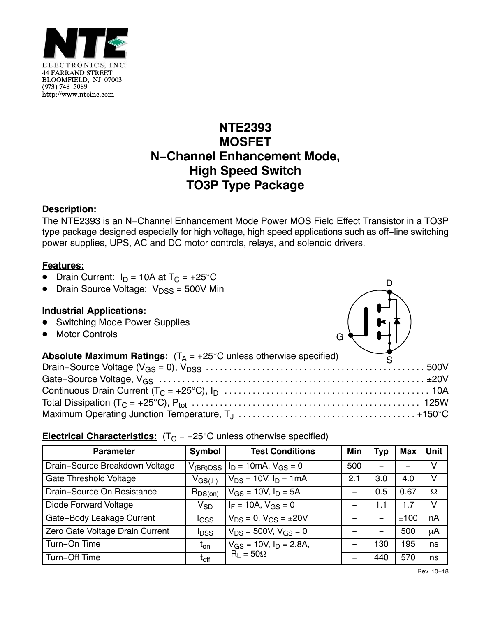

# **NTE2393 MOSFET N−Channel Enhancement Mode, High Speed Switch TO3P Type Package**

# **Description:**

The NTE2393 is an N−Channel Enhancement Mode Power MOS Field Effect Transistor in a TO3P type package designed especially for high voltage, high speed applications such as off−line switching power supplies, UPS, AC and DC motor controls, relays, and solenoid drivers.

# **Features:**

- $\bullet$ Drain Current:  $I_D = 10A$  at  $T_C = +25^{\circ}C$
- $\bullet$  Drain Source Voltage:  $V_{\text{DSS}} = 500V$  Min

### **Industrial Applications:**

- Switching Mode Power Supplies
- Motor Controls

| $\sim$ $\sim$                                                                              |  |
|--------------------------------------------------------------------------------------------|--|
| <b>Absolute Maximum Ratings:</b> $(T_A = +25^{\circ} \text{C}$ unless otherwise specified) |  |
|                                                                                            |  |
|                                                                                            |  |
|                                                                                            |  |
|                                                                                            |  |
|                                                                                            |  |

G

D

### **Electrical Characteristics:**  $(T_C = +25^{\circ}C$  unless otherwise specified)

| <b>Parameter</b>                | Symbol                                  | <b>Test Conditions</b>            | Min | Typ | Max  | <b>Unit</b> |
|---------------------------------|-----------------------------------------|-----------------------------------|-----|-----|------|-------------|
| Drain-Source Breakdown Voltage  | $V_{(BR)DSS}$                           | $I_D = 10 \text{mA}, V_{GS} = 0$  | 500 |     |      |             |
| <b>Gate Threshold Voltage</b>   | $\mathsf{V}_{\mathsf{GS}(\mathsf{th})}$ | $V_{DS}$ = 10V, $I_D$ = 1mA       | 2.1 | 3.0 | 4.0  | v           |
| Drain-Source On Resistance      | $R_{DS(on)}$                            | $V_{GS}$ = 10V, $I_D$ = 5A        | —   | 0.5 | 0.67 | Ω           |
| <b>Diode Forward Voltage</b>    | $\mathsf{V}_{\mathsf{SD}}$              | $I_F = 10A$ , $V_{GS} = 0$        |     | 1.1 | 1.7  | V           |
| Gate-Body Leakage Current       | l <sub>GSS</sub>                        | $V_{DS} = 0$ , $V_{GS} = \pm 20V$ |     |     | ±100 | nA          |
| Zero Gate Voltage Drain Current | <b>I</b> <sub>DSS</sub>                 | $V_{DS}$ = 500V, $V_{GS}$ = 0     |     |     | 500  | μA          |
| Turn-On Time                    | t <sub>on</sub>                         | $V_{GS}$ = 10V, $I_D$ = 2.8A,     |     | 130 | 195  | ns          |
| Turn-Off Time                   | $t_{\text{off}}$                        | $R_1 = 50\Omega$                  |     | 440 | 570  | ns          |